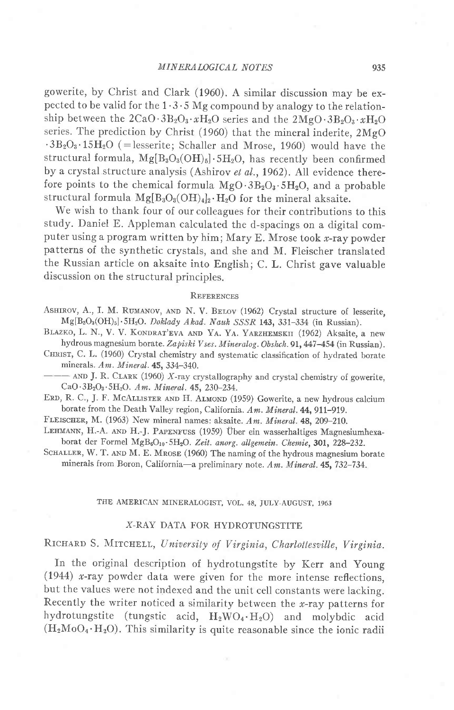gowerite, by Christ and Clark (1960). A similar discussion may be expected to be valid for the  $1 \cdot 3 \cdot 5$  Mg compound by analogy to the relationship between the  $2CaO.3B_2O_3.2H_2O$  series and the  $2MgO.3B_2O_3.2H_2O$ series. The prediction by Christ (1960) that the mineral inderite, 2MgO  $\cdot$ 3B<sub>2</sub>O<sub>3</sub> $\cdot$ 15H<sub>2</sub>O (=lesserite; Schaller and Mrose, 1960) would have the structural formula,  $Mg[B_3O_3(OH)_5] \cdot 5H_2O$ , has recently been confirmed by a crystal structure analysis (Ashirov et al., 1962). All evidence therefore points to the chemical formula  $MgO \cdot 3B_2O_3 \cdot 5H_2O$ , and a probable structural formula  $Mg[B_3O_3(OH)_4]_2 \cdot H_2O$  for the mineral aksaite.

We wish to thank four of our colleagues for their contributions to this study. Daniel E. Appleman calculated the d-spacings on a digital computer using a program written by him; Mary E. Mrose took  $x$ -ray powder patterns of the synthetic crystals, and she and M. Fleischer translated the Russian article on aksaite into English; C.L.Christ gave valuable discussion on the structural principles.

## REFERENCES

ASHIROV, A., I. M. RUMANOV, AND N. V. BELOV (1962) Crystal structure of lesserite,  $Mg[B_8O_3(OH)_5] \cdot 5H_2O$ . Doklady Akad. Nauk SSSR 143, 331-334 (in Russian).

BLAZKO, L. N., V. V. KONDRAT'EVA AND YA. YA. YARZHEMSKII (1962) Aksaite, a new hydrous magnesium borate. Zapiski Vses. Mineralog. Obshch. 91, 447-454 (in Russian).

CHRIST, C. L. (1960) Crystal chemistry and systematic classification of hydrated borate minerals.  $Am.$  Mineral.  $45, 334-340$ .

 $-$  AND J. R. CLARK (1960) X-ray crystallography and crystal chemistry of gowerite,  $CaO·3B<sub>2</sub>O<sub>3</sub>·5H<sub>2</sub>O.$  Am. Mineral. 45, 230-234.

ERD, R. C., J. F. MCALLISTER AND H. ALMOND (1959) Gowerite, a new hydrous calcium borate from the Death Valley region, California. Am. Mineral. 44, 911-919.

FLEISCHER, M. (1963) New mineral names: aksaite. Am. Mineral. 48, 209-210.

LEHMANN, H.-A. AND H.-J. PAPENFUSS (1959) Über ein wasserhaltiges Magnesiumhexaborat der Formel MgB<sub>6</sub>O<sub>10</sub>.5H<sub>2</sub>O. Zeit. anorg. allgemein. Chemie, 301, 228-232.

SCHALLER, W. T. AND M. E. MROSE (1960) The naming of the hydrous magnesium borate minerals from Boron, California-a preliminary note. Am. Mineral. 45, 732-734.

## THE AMERICAN MINERALOGIST, VOL. 48, JULY-AUGUST, 1963

### X-RAY DATA FOR HYDROTUNGSTITE

RICHARD S. MITCHELL, University of Virginia, Charlottesville, Virginia.

In the original description of hydrotungstite by Kerr and Young (1944) x-ray powder data were given for the more intense reflections, but the values were not indexed and the unit cell constants were lacking. Recently the writer noticed a similarity between the  $x$ -ray patterns for hydrotungstite (tungstic acid,  $H_2WO_4·H_2O$ ) and molybdic acid  $(H_2MoO_4·H_2O)$ . This similarity is quite reasonable since the ionic radii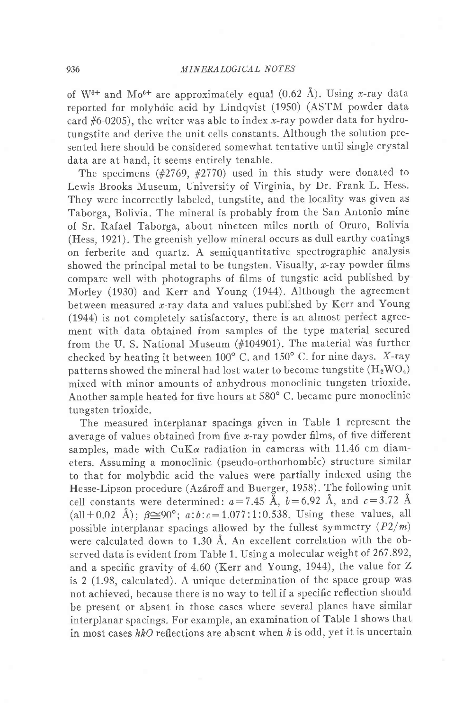of W<sup>6+</sup> and Mo<sup>6+</sup> are approximately equal (0.62 Å). Using x-ray data reported for molybdic acid by Lindqvist (1950) (ASTM powder data card  $#6-0205$ ), the writer was able to index x-ray powder data for hydrotungstite and derive the unit cells constants. Although the solution presented here should be considered somewhat tentative until single crystal data are at hand, it seems entirely tenable.

The specimens  $(\#2769, \#2770)$  used in this study were donated to Lewis Brooks Museum, University of Virginia, by Dr. Frank L. Hess. They were incorrectly labeled, tungstite, and the locality was given as Taborga, Bolivia. The mineral is probably from the San Antonio mine of Sr. Rafael Taborga, about nineteen miles north of Oruro, Bolivia (Hess, 1921). The greenish yellow mineral occurs as dull earthy coatings on ferberite and quartz. A semiquantitative spectrographic analysis showed the principal metal to be tungsten. Visually,  $x$ -ray powder films compare well with photographs of films of tungstic acid published by Morley (1930) and Kerr and Young (1944). Although the agreement between measured x-ray data and values published by Kerr and Young (1944) is not completely satisfactory, there is an almost perfect agreement with data obtained from samples of the type material secured from the U. S. National Museum (#I0490I). The material was further checked by heating it between  $100^{\circ}$  C. and  $150^{\circ}$  C. for nine days. X-ray patterns showed the mineral had lost water to become tungstite  $(H_2WO_4)$ mixed with minor amounts of anhydrous monoclinic tungsten trioxide. Another sample heated for five hours at 580' C. became pure monoclinic tungsten trioxide.

The measured interplanar spacings given in Table 1 represent the average of values obtained from five  $x$ -ray powder films, of five different samples, made with  $CuK\alpha$  radiation in cameras with 11.46 cm diameters. Assuming a monoclinic (pseudo-orthorhombic) structure similar to that for molybdic acid the values were partially indexed using the Hesse-Lipson procedure (Azároff and Buerger, 1958). The following unit cell constants were determined:  $a=7.45$  Å,  $b=6.92$  Å, and  $c=3.72$  Å (all  $\pm 0.02$  Å);  $\beta \cong 90^{\circ}$ ;  $a:b:c=1.077:1:0.538$ . Using these values, all possible interplanar spacings allowed by the fullest symmetry  $(P2/m)$ were calculated down to 1.30 A. An excellent correlation with the observed data is evident from Table 1. Using a molecular weight of 267 .892, and a specific gravity of 4.60 (Kerr and Young, 1944), the value for Z is  $2$  (1.98, calculated). A unique determination of the space group was not achieved, because there is no way to tell if a specific reflection should be present or absent in those cases where several planes have similar interplanar spacings. For example, an examination of Table 1 shows that in most cases  $hkO$  reflections are absent when  $h$  is odd, yet it is uncertain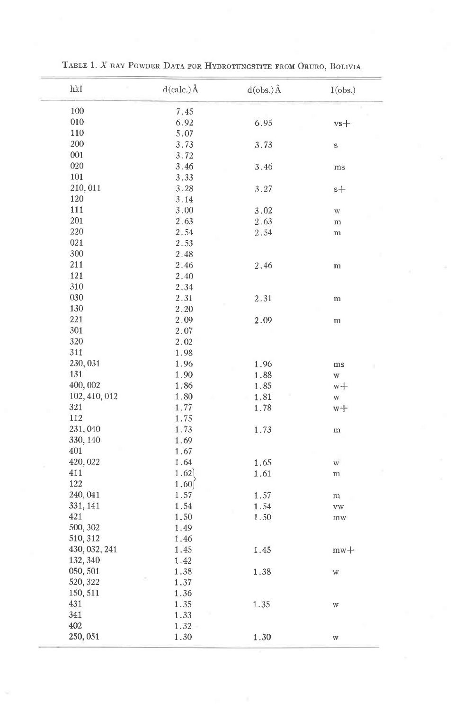| hkl             | $d(calc.)$ Å | $d(obs.)$ Å | I(obs.)                 |
|-----------------|--------------|-------------|-------------------------|
| 100             | 7.45         |             |                         |
| 010             | 6.92         | 6.95        | $vs+$                   |
| 110             | 5.07         |             |                         |
| 200             | 3.73         | 3.73        | S                       |
| 001             | 3.72         |             |                         |
| 020             | 3.46         | 3.46        | ms                      |
| 101             | 3.33         |             |                         |
| 210,011         | 3.28         | 3.27        | $s+$                    |
| 120             | 3.14         |             |                         |
| 111             | 3.00         | 3.02        | W                       |
| 201             | 2.63         | 2.63        | m                       |
| 220             | 2.54         | 2.54        | ${\bf m}$               |
| 021             | 2.53         |             |                         |
| 300             | 2.48         |             |                         |
| 211             | 2.46         | 2.46        | m                       |
| 121             | 2.40         |             |                         |
| 310             | 2.34         |             |                         |
| 030             | 2.31         | 2.31        | m                       |
| 130             | 2.20         |             |                         |
| 221             | 2.09         | 2.09        | m                       |
| 301             | 2.07         |             |                         |
| 320             | 2.02         |             |                         |
| 311             | 1.98         |             |                         |
| 230,031         | 1.96         | 1.96        | ms                      |
| 131             | 1.90         | 1.88        | $\ensuremath{\text{W}}$ |
| 400,002         | 1.86         | 1.85        |                         |
| 102, 410, 012   | 1.80         | 1.81        | w+<br>W                 |
| 321             | 1.77         |             |                         |
| 112             | 1.75         | 1.78        | $w +$                   |
| 231,040         |              |             |                         |
| 330, 140        | 1.73<br>1.69 | 1.73        | ${\rm m}$               |
| 401             | 1.67         |             |                         |
| 420,022         |              |             |                         |
| 411             | 1.64<br>1.62 | 1.65        | $\mathbf{W}$            |
| 122             |              | 1.61        | ${\bf m}$               |
| 240, 041        | 1.60         |             |                         |
|                 | 1.57         | 1.57        | m                       |
| 331, 141<br>421 | 1.54         | 1.54        | <b>VW</b>               |
|                 | 1.50         | 1.50        | mw                      |
| 500, 302        | 1.49         |             |                         |
| 510, 312        | 1.46         |             |                         |
| 430, 032, 241   | 1.45         | 1.45        | $mw +$                  |
| 132, 340        | 1.42         |             |                         |
| 050, 501        | 1.38         | 1.38        | $\ensuremath{\text{W}}$ |
| 520, 322        | 1.37         |             |                         |
| 150, 511        | 1.36         |             |                         |
| 431             | 1.35         | 1.35        | $\ensuremath{\text{W}}$ |
| 341             | 1.33         |             |                         |
| 402             | 1.32         |             |                         |
| 250,051         | 1.30         | 1.30        | W                       |

TABLE 1. X-RAY POWDER DATA FOR HYDROTUNGSTITE FROM ORURO, BOLIVIA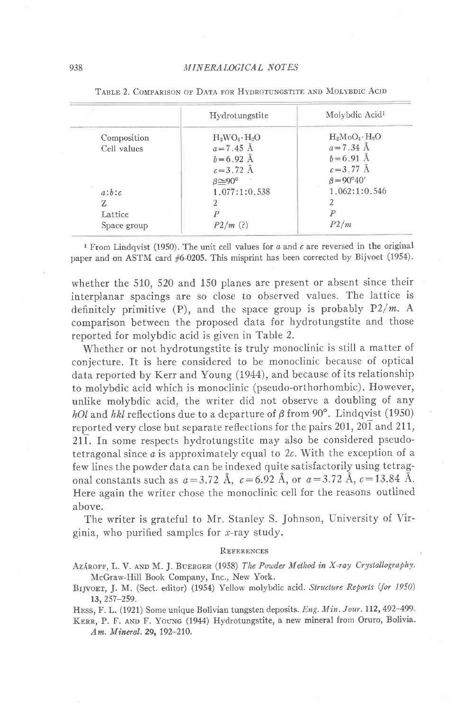|             | Hydrotungstite           | Molybdic Acid <sup>1</sup> |
|-------------|--------------------------|----------------------------|
| Composition | $H_2WO_4 \cdot H_2O$     | $H_2MO_4 \cdot H_2O$       |
| Cell values | $a = 7.45 \text{ Å}$     | $a = 7.34 \text{ Å}$       |
|             | $b = 6.92$ Å             | $b = 6.91$ Å               |
|             | $c = 3.72 \text{ Å}$     | $c = 3.77 \text{ Å}$       |
|             | $\beta \approx 90^\circ$ | $\beta = 90^{\circ}40'$    |
| a:b:c       | 1.077:1:0.538            | 1.062:1:0.546              |
| Z           |                          |                            |
| Lattice     |                          |                            |
| Space group | P2/m(?)                  | P2/m                       |

TABLE 2. COMPARISON OF DATA FOR HYDROTUNGSTITE AND MOLYBDIC ACID

<sup>1</sup> From Lindqvist (1950). The unit cell values for  $a$  and  $c$  are reversed in the original paper and on ASTM card #6-0205. This misprint has been corrected by Bijvoet (1954).

whether the 510, 520 and 150 planes are present or absent since their interplanar spacings are so close to observed values. The lattice is definitely primitive  $(P)$ , and the space group is probably  $P2/m$ . A comparison between the proposed data for hydrotungstite and those reported for molybdic acid is given in Table 2.

Whether or not hydrotungstite is truly monoclinic is still a matter of conjecture. It is here considered to be monoclinic because of optical data reported by Kerr and Young (1944), and because of its relationship to molybdic acid which is monoclinic (pseudo-orthorhombic). However, unlike molybdic acid, the writer did not observe a doubling of any hOl and hkl reflections due to a departure of  $\beta$  from 90°. Lindqvist (1950) reported very close but separate reflections for the pairs 201, 20 $\overline{1}$  and 211, 211. In some respects hydrotungstite may also be considered pseudotetragonal since  $a$  is approximately equal to 2c. With the exception of a few lines the powder data can be indexed quite satisfactorily using tetragonal constants such as  $a = 3.72$  Å,  $c = 6.92$  Å, or  $a = 3.72$  Å,  $c = 13.84$  Å. Here again the writer chose the monoclinic cell for the reasons outlined above.

The writer is grateful to Mr. Stanley S. Johnson, University of Virginia, who purified samples for  $x$ -ray study.

#### **REFERENCES**

AZÁROFF, L. V. AND M. J. BUERGER (1958) The Powder Method in X-ray Crystallography. McGraw-Hill Book Company, Inc., New York.

BIJVOET, J. M. (Sect. editor) (1954) Yellow molybdic acid. Structure Reports (for 1950)  $13, 257 - 259.$ 

HESS, F. L. (1921) Some unique Bolivian tungsten deposits. Eng. Min. Jour. 112, 492-499.

KERR, P. F. AND F. YOUNG (1944) Hydrotungstite, a new mineral from Oruro, Bolivia. Am. Mineral. 29, 192-210.